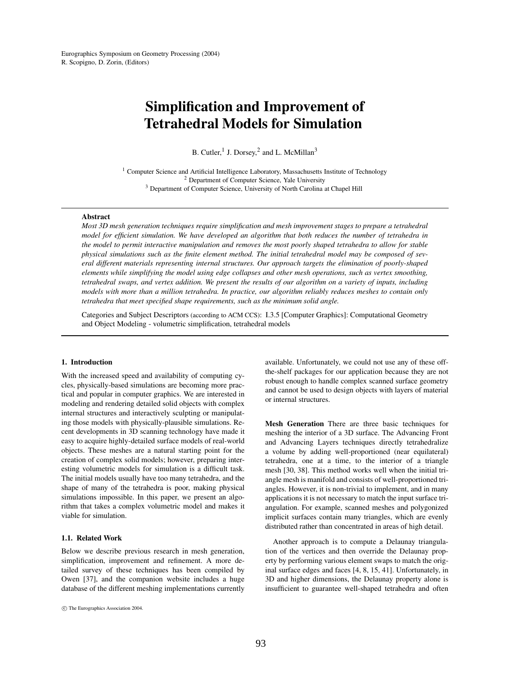# **Simplification and Improvement of Tetrahedral Models for Simulation**

B. Cutler,  $1$  J. Dorsey,  $2$  and L. McMillan<sup>3</sup>

<sup>1</sup> Computer Science and Artificial Intelligence Laboratory, Massachusetts Institute of Technology <sup>2</sup> Department of Computer Science, Yale University <sup>3</sup> Department of Computer Science, University of North Carolina at Chapel Hill

## **Abstract**

*Most 3D mesh generation techniques require simplification and mesh improvement stages to prepare a tetrahedral* model for efficient simulation. We have developed an algorithm that both reduces the number of tetrahedra in the model to permit interactive manipulation and removes the most poorly shaped tetrahedra to allow for stable physical simulations such as the finite element method. The initial tetrahedral model may be composed of sev*eral different materials representing internal structures. Our approach targets the elimination of poorly-shaped elements while simplifying the model using edge collapses and other mesh operations, such as vertex smoothing,* tetrahedral swaps, and vertex addition. We present the results of our algorithm on a variety of inputs, including models with more than a million tetrahedra. In practice, our algorithm reliably reduces meshes to contain only *tetrahedra that meet specified shape requirements, such as the minimum solid angle.*

Categories and Subject Descriptors (according to ACM CCS): I.3.5 [Computer Graphics]: Computational Geometry and Object Modeling - volumetric simplification, tetrahedral models

## **1. Introduction**

With the increased speed and availability of computing cycles, physically-based simulations are becoming more practical and popular in computer graphics. We are interested in modeling and rendering detailed solid objects with complex internal structures and interactively sculpting or manipulating those models with physically-plausible simulations. Recent developments in 3D scanning technology have made it easy to acquire highly-detailed surface models of real-world objects. These meshes are a natural starting point for the creation of complex solid models; however, preparing interesting volumetric models for simulation is a difficult task. The initial models usually have too many tetrahedra, and the shape of many of the tetrahedra is poor, making physical simulations impossible. In this paper, we present an algorithm that takes a complex volumetric model and makes it viable for simulation.

## **1.1. Related Work**

Below we describe previous research in mesh generation, simplification, improvement and refinement. A more detailed survey of these techniques has been compiled by Owen [37], and the companion website includes a huge database of the different meshing implementations currently available. Unfortunately, we could not use any of these offthe-shelf packages for our application because they are not robust enough to handle complex scanned surface geometry and cannot be used to design objects with layers of material or internal structures.

**Mesh Generation** There are three basic techniques for meshing the interior of a 3D surface. The Advancing Front and Advancing Layers techniques directly tetrahedralize a volume by adding well-proportioned (near equilateral) tetrahedra, one at a time, to the interior of a triangle mesh [30, 38]. This method works well when the initial triangle mesh is manifold and consists of well-proportioned triangles. However, it is non-trivial to implement, and in many applications it is not necessary to match the input surface triangulation. For example, scanned meshes and polygonized implicit surfaces contain many triangles, which are evenly distributed rather than concentrated in areas of high detail.

Another approach is to compute a Delaunay triangulation of the vertices and then override the Delaunay property by performing various element swaps to match the original surface edges and faces [4, 8, 15, 41]. Unfortunately, in 3D and higher dimensions, the Delaunay property alone is insufficient to guarantee well-shaped tetrahedra and often

c The Eurographics Association 2004.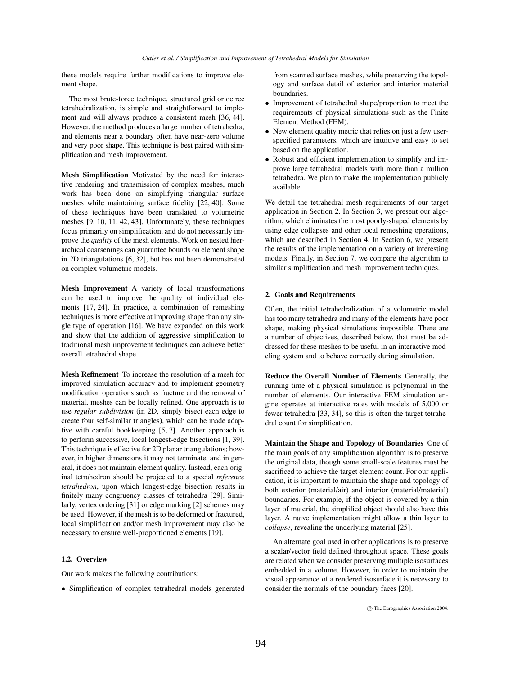these models require further modifications to improve element shape.

The most brute-force technique, structured grid or octree tetrahedralization, is simple and straightforward to implement and will always produce a consistent mesh [36, 44]. However, the method produces a large number of tetrahedra, and elements near a boundary often have near-zero volume and very poor shape. This technique is best paired with simplification and mesh improvement.

**Mesh Simplification** Motivated by the need for interactive rendering and transmission of complex meshes, much work has been done on simplifying triangular surface meshes while maintaining surface fidelity [22, 40]. Some of these techniques have been translated to volumetric meshes [9, 10, 11, 42, 43]. Unfortunately, these techniques focus primarily on simplification, and do not necessarily improve the *quality* of the mesh elements. Work on nested hierarchical coarsenings can guarantee bounds on element shape in 2D triangulations [6, 32], but has not been demonstrated on complex volumetric models.

**Mesh Improvement** A variety of local transformations can be used to improve the quality of individual elements [17, 24]. In practice, a combination of remeshing techniques is more effective at improving shape than any single type of operation [16]. We have expanded on this work and show that the addition of aggressive simplification to traditional mesh improvement techniques can achieve better overall tetrahedral shape.

**Mesh Refinement** To increase the resolution of a mesh for improved simulation accuracy and to implement geometry modification operations such as fracture and the removal of material, meshes can be locally refined. One approach is to use *regular subdivision* (in 2D, simply bisect each edge to create four self-similar triangles), which can be made adaptive with careful bookkeeping [5, 7]. Another approach is to perform successive, local longest-edge bisections [1, 39]. This technique is effective for 2D planar triangulations; however, in higher dimensions it may not terminate, and in general, it does not maintain element quality. Instead, each original tetrahedron should be projected to a special *reference tetrahedron*, upon which longest-edge bisection results in finitely many congruency classes of tetrahedra [29]. Similarly, vertex ordering [31] or edge marking [2] schemes may be used. However, if the mesh is to be deformed or fractured, local simplification and/or mesh improvement may also be necessary to ensure well-proportioned elements [19].

# **1.2. Overview**

Our work makes the following contributions:

• Simplification of complex tetrahedral models generated

from scanned surface meshes, while preserving the topology and surface detail of exterior and interior material boundaries.

- Improvement of tetrahedral shape/proportion to meet the requirements of physical simulations such as the Finite Element Method (FEM).
- New element quality metric that relies on just a few userspecified parameters, which are intuitive and easy to set based on the application.
- Robust and efficient implementation to simplify and improve large tetrahedral models with more than a million tetrahedra. We plan to make the implementation publicly available.

We detail the tetrahedral mesh requirements of our target application in Section 2. In Section 3, we present our algorithm, which eliminates the most poorly-shaped elements by using edge collapses and other local remeshing operations, which are described in Section 4. In Section 6, we present the results of the implementation on a variety of interesting models. Finally, in Section 7, we compare the algorithm to similar simplification and mesh improvement techniques.

## **2. Goals and Requirements**

Often, the initial tetrahedralization of a volumetric model has too many tetrahedra and many of the elements have poor shape, making physical simulations impossible. There are a number of objectives, described below, that must be addressed for these meshes to be useful in an interactive modeling system and to behave correctly during simulation.

**Reduce the Overall Number of Elements** Generally, the running time of a physical simulation is polynomial in the number of elements. Our interactive FEM simulation engine operates at interactive rates with models of 5,000 or fewer tetrahedra [33, 34], so this is often the target tetrahedral count for simplification.

**Maintain the Shape and Topology of Boundaries** One of the main goals of any simplification algorithm is to preserve the original data, though some small-scale features must be sacrificed to achieve the target element count. For our application, it is important to maintain the shape and topology of both exterior (material/air) and interior (material/material) boundaries. For example, if the object is covered by a thin layer of material, the simplified object should also have this layer. A naive implementation might allow a thin layer to *collapse*, revealing the underlying material [25].

An alternate goal used in other applications is to preserve a scalar/vector field defined throughout space. These goals are related when we consider preserving multiple isosurfaces embedded in a volume. However, in order to maintain the visual appearance of a rendered isosurface it is necessary to consider the normals of the boundary faces [20].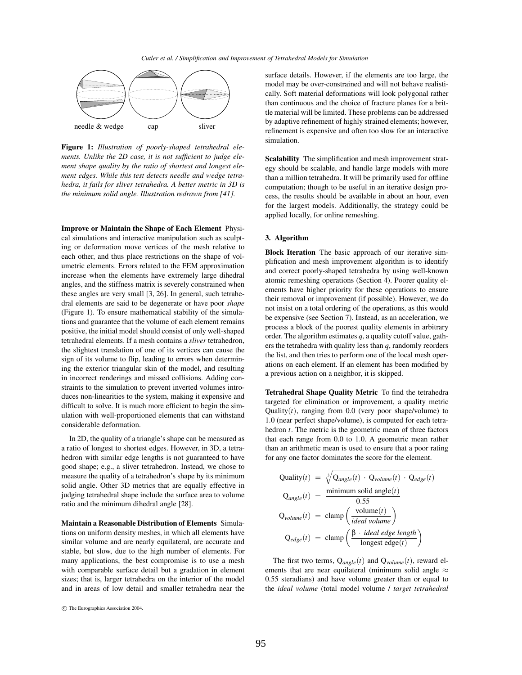

**Figure 1:** *Illustration of poorly-shaped tetrahedral elements. Unlike the 2D case, it is not sufficient to judge element shape quality by the ratio of shortest and longest element edges. While this test detects needle and wedge tetrahedra, it fails for sliver tetrahedra. A better metric in 3D is the minimum solid angle. Illustration redrawn from [41].*

**Improve or Maintain the Shape of Each Element** Physical simulations and interactive manipulation such as sculpting or deformation move vertices of the mesh relative to each other, and thus place restrictions on the shape of volumetric elements. Errors related to the FEM approximation increase when the elements have extremely large dihedral angles, and the stiffness matrix is severely constrained when these angles are very small [3, 26]. In general, such tetrahedral elements are said to be degenerate or have poor *shape* (Figure 1). To ensure mathematical stability of the simulations and guarantee that the volume of each element remains positive, the initial model should consist of only well-shaped tetrahedral elements. If a mesh contains a *sliver* tetrahedron, the slightest translation of one of its vertices can cause the sign of its volume to flip, leading to errors when determining the exterior triangular skin of the model, and resulting in incorrect renderings and missed collisions. Adding constraints to the simulation to prevent inverted volumes introduces non-linearities to the system, making it expensive and difficult to solve. It is much more efficient to begin the simulation with well-proportioned elements that can withstand considerable deformation.

In 2D, the quality of a triangle's shape can be measured as a ratio of longest to shortest edges. However, in 3D, a tetrahedron with similar edge lengths is not guaranteed to have good shape; e.g., a sliver tetrahedron. Instead, we chose to measure the quality of a tetrahedron's shape by its minimum solid angle. Other 3D metrics that are equally effective in judging tetrahedral shape include the surface area to volume ratio and the minimum dihedral angle [28].

**Maintain a Reasonable Distribution of Elements** Simulations on uniform density meshes, in which all elements have similar volume and are nearly equilateral, are accurate and stable, but slow, due to the high number of elements. For many applications, the best compromise is to use a mesh with comparable surface detail but a gradation in element sizes; that is, larger tetrahedra on the interior of the model and in areas of low detail and smaller tetrahedra near the

surface details. However, if the elements are too large, the model may be over-constrained and will not behave realistically. Soft material deformations will look polygonal rather than continuous and the choice of fracture planes for a brittle material will be limited. These problems can be addressed by adaptive refinement of highly strained elements; however, refinement is expensive and often too slow for an interactive simulation.

**Scalability** The simplification and mesh improvement strategy should be scalable, and handle large models with more than a million tetrahedra. It will be primarily used for offline computation; though to be useful in an iterative design process, the results should be available in about an hour, even for the largest models. Additionally, the strategy could be applied locally, for online remeshing.

## **3. Algorithm**

**Block Iteration** The basic approach of our iterative simplification and mesh improvement algorithm is to identify and correct poorly-shaped tetrahedra by using well-known atomic remeshing operations (Section 4). Poorer quality elements have higher priority for these operations to ensure their removal or improvement (if possible). However, we do not insist on a total ordering of the operations, as this would be expensive (see Section 7). Instead, as an acceleration, we process a block of the poorest quality elements in arbitrary order. The algorithm estimates *q*, a quality cutoff value, gathers the tetrahedra with quality less than *q*, randomly reorders the list, and then tries to perform one of the local mesh operations on each element. If an element has been modified by a previous action on a neighbor, it is skipped.

**Tetrahedral Shape Quality Metric** To find the tetrahedra targeted for elimination or improvement, a quality metric Quality $(t)$ , ranging from 0.0 (very poor shape/volume) to 1.0 (near perfect shape/volume), is computed for each tetrahedron *t*. The metric is the geometric mean of three factors that each range from 0.0 to 1.0. A geometric mean rather than an arithmetic mean is used to ensure that a poor rating for any one factor dominates the score for the element.

$$
Quality(t) = \sqrt[3]{Q_{angle}(t) \cdot Q_{volume}(t) \cdot Q_{edge}(t)}
$$
  
\n
$$
Q_{angle}(t) = \frac{\text{minimum solid angle}(t)}{0.55}
$$
  
\n
$$
Q_{volume}(t) = \text{clamp}\left(\frac{\text{volume}(t)}{\text{ideal volume}}\right)
$$
  
\n
$$
Q_{edge}(t) = \text{clamp}\left(\frac{\beta \cdot \text{ideal edge length}}{\text{longest edge}(t)}\right)
$$

The first two terms,  $Q_{angle}(t)$  and  $Q_{volume}(t)$ , reward elements that are near equilateral (minimum solid angle  $\approx$ 0.55 steradians) and have volume greater than or equal to the *ideal volume* (total model volume / *target tetrahedral*

c The Eurographics Association 2004.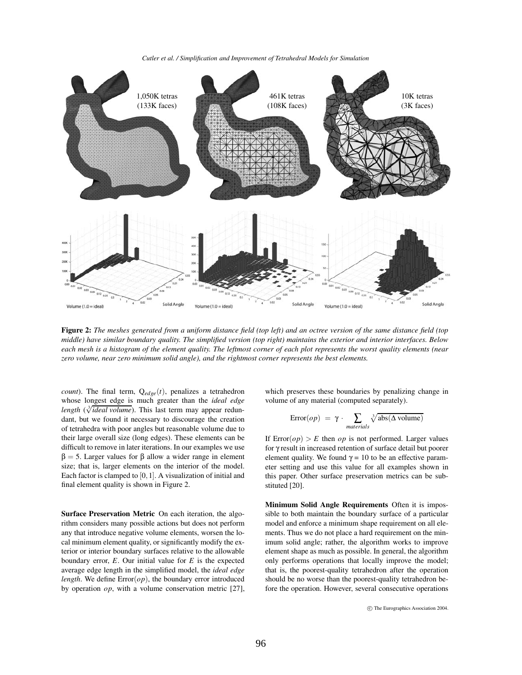*Cutler et al. / Simplification and Improvement of Tetrahedral Models for Simulation*



Figure 2: The meshes generated from a uniform distance field (top left) and an octree version of the same distance field (top middle) have similar boundary quality. The simplified version (top right) maintains the exterior and interior interfaces. Below each mesh is a histogram of the element quality. The leftmost corner of each plot represents the worst quality elements (near *zero volume, near zero minimum solid angle), and the rightmost corner represents the best elements.*

*count*). The final term,  $Q_{edge}(t)$ , penalizes a tetrahedron whose longest edge is much greater than the *ideal edge*  $length$  ( $\sqrt[3]{ideal volume}$ ). This last term may appear redundant, but we found it necessary to discourage the creation of tetrahedra with poor angles but reasonable volume due to their large overall size (long edges). These elements can be difficult to remove in later iterations. In our examples we use  $β = 5$ . Larger values for β allow a wider range in element size; that is, larger elements on the interior of the model. Each factor is clamped to  $[0,1]$ . A visualization of initial and final element quality is shown in Figure 2.

**Surface Preservation Metric** On each iteration, the algorithm considers many possible actions but does not perform any that introduce negative volume elements, worsen the local minimum element quality, or significantly modify the exterior or interior boundary surfaces relative to the allowable boundary error, *E*. Our initial value for *E* is the expected average edge length in the simplified model, the *ideal edge length*. We define  $Error(op)$ , the boundary error introduced by operation *op*, with a volume conservation metric [27], which preserves these boundaries by penalizing change in volume of any material (computed separately).

$$
Error(op) = \gamma \cdot \sum_{materials} \sqrt[3]{\text{abs}(\Delta \text{ volume})}
$$

If  $Error(op) > E$  then *op* is not performed. Larger values for γ result in increased retention of surface detail but poorer element quality. We found  $\gamma = 10$  to be an effective parameter setting and use this value for all examples shown in this paper. Other surface preservation metrics can be substituted [20].

**Minimum Solid Angle Requirements** Often it is impossible to both maintain the boundary surface of a particular model and enforce a minimum shape requirement on all elements. Thus we do not place a hard requirement on the minimum solid angle; rather, the algorithm works to improve element shape as much as possible. In general, the algorithm only performs operations that locally improve the model; that is, the poorest-quality tetrahedron after the operation should be no worse than the poorest-quality tetrahedron before the operation. However, several consecutive operations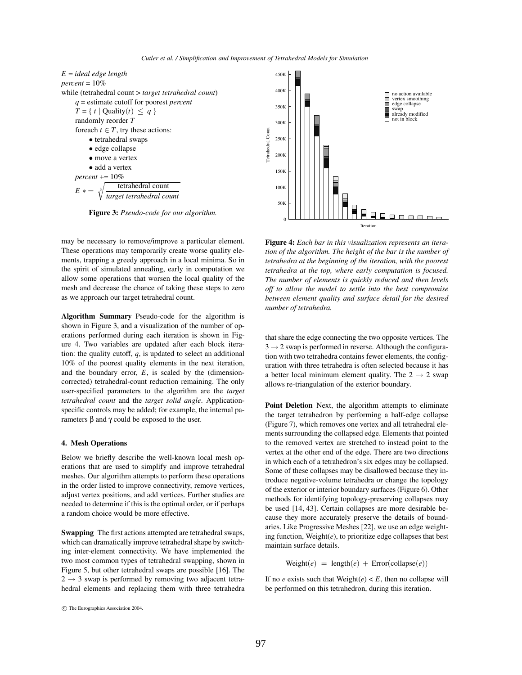

**Figure 3:** *Pseudo-code for our algorithm.*

may be necessary to remove/improve a particular element. These operations may temporarily create worse quality elements, trapping a greedy approach in a local minima. So in the spirit of simulated annealing, early in computation we allow some operations that worsen the local quality of the mesh and decrease the chance of taking these steps to zero as we approach our target tetrahedral count.

**Algorithm Summary** Pseudo-code for the algorithm is shown in Figure 3, and a visualization of the number of operations performed during each iteration is shown in Figure 4. Two variables are updated after each block iteration: the quality cutoff, *q*, is updated to select an additional 10% of the poorest quality elements in the next iteration, and the boundary error, *E*, is scaled by the (dimensioncorrected) tetrahedral-count reduction remaining. The only user-specified parameters to the algorithm are the *target tetrahedral count* and the *target solid angle*. Applicationspecific controls may be added; for example, the internal parameters β and γ could be exposed to the user.

#### **4. Mesh Operations**

Below we briefly describe the well-known local mesh operations that are used to simplify and improve tetrahedral meshes. Our algorithm attempts to perform these operations in the order listed to improve connectivity, remove vertices, adjust vertex positions, and add vertices. Further studies are needed to determine if this is the optimal order, or if perhaps a random choice would be more effective.

**Swapping** The first actions attempted are tetrahedral swaps, which can dramatically improve tetrahedral shape by switching inter-element connectivity. We have implemented the two most common types of tetrahedral swapping, shown in Figure 5, but other tetrahedral swaps are possible [16]. The  $2 \rightarrow 3$  swap is performed by removing two adjacent tetrahedral elements and replacing them with three tetrahedra



**Figure 4:** *Each bar in this visualization represents an iteration of the algorithm. The height of the bar is the number of tetrahedra at the beginning of the iteration, with the poorest tetrahedra at the top, where early computation is focused. The number of elements is quickly reduced and then levels off to allow the model to settle into the best compromise between element quality and surface detail for the desired number of tetrahedra.*

that share the edge connecting the two opposite vertices. The  $3 \rightarrow 2$  swap is performed in reverse. Although the configuration with two tetrahedra contains fewer elements, the configuration with three tetrahedra is often selected because it has a better local minimum element quality. The  $2 \rightarrow 2$  swap allows re-triangulation of the exterior boundary.

**Point Deletion** Next, the algorithm attempts to eliminate the target tetrahedron by performing a half-edge collapse (Figure 7), which removes one vertex and all tetrahedral elements surrounding the collapsed edge. Elements that pointed to the removed vertex are stretched to instead point to the vertex at the other end of the edge. There are two directions in which each of a tetrahedron's six edges may be collapsed. Some of these collapses may be disallowed because they introduce negative-volume tetrahedra or change the topology of the exterior or interior boundary surfaces (Figure 6). Other methods for identifying topology-preserving collapses may be used [14, 43]. Certain collapses are more desirable because they more accurately preserve the details of boundaries. Like Progressive Meshes [22], we use an edge weighting function, Weight(*e*), to prioritize edge collapses that best maintain surface details.

 $Weight(e) = length(e) + Error(collapse(e))$ 

If no *e* exists such that  $Weight(e) < E$ , then no collapse will be performed on this tetrahedron, during this iteration.

c The Eurographics Association 2004.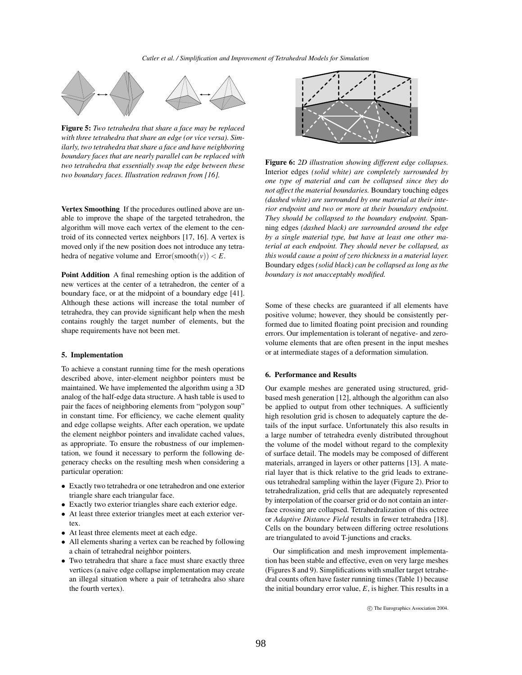

**Figure 5:** *Two tetrahedra that share a face may be replaced with three tetrahedra that share an edge (or vice versa). Similarly, two tetrahedra that share a face and have neighboring boundary faces that are nearly parallel can be replaced with two tetrahedra that essentially swap the edge between these two boundary faces. Illustration redrawn from [16].*

**Vertex Smoothing** If the procedures outlined above are unable to improve the shape of the targeted tetrahedron, the algorithm will move each vertex of the element to the centroid of its connected vertex neighbors [17, 16]. A vertex is moved only if the new position does not introduce any tetrahedra of negative volume and  $Error(smooth(v)) < E$ .

**Point Addition** A final remeshing option is the addition of new vertices at the center of a tetrahedron, the center of a boundary face, or at the midpoint of a boundary edge [41]. Although these actions will increase the total number of tetrahedra, they can provide significant help when the mesh contains roughly the target number of elements, but the shape requirements have not been met.

## **5. Implementation**

To achieve a constant running time for the mesh operations described above, inter-element neighbor pointers must be maintained. We have implemented the algorithm using a 3D analog of the half-edge data structure. A hash table is used to pair the faces of neighboring elements from "polygon soup" in constant time. For efficiency, we cache element quality and edge collapse weights. After each operation, we update the element neighbor pointers and invalidate cached values, as appropriate. To ensure the robustness of our implementation, we found it necessary to perform the following degeneracy checks on the resulting mesh when considering a particular operation:

- Exactly two tetrahedra or one tetrahedron and one exterior triangle share each triangular face.
- Exactly two exterior triangles share each exterior edge.
- At least three exterior triangles meet at each exterior vertex.
- At least three elements meet at each edge.
- All elements sharing a vertex can be reached by following a chain of tetrahedral neighbor pointers.
- Two tetrahedra that share a face must share exactly three vertices (a naive edge collapse implementation may create an illegal situation where a pair of tetrahedra also share the fourth vertex).



**Figure 6:** *2D illustration showing different edge collapses.* Interior edges *(solid white) are completely surrounded by one type of material and can be collapsed since they do not affect the material boundaries.* Boundary touching edges *(dashed white) are surrounded by one material at their interior endpoint and two or more at their boundary endpoint. They should be collapsed to the boundary endpoint.* Spanning edges *(dashed black) are surrounded around the edge by a single material type, but have at least one other material at each endpoint. They should never be collapsed, as this would cause a point of zero thickness in a material layer.* Boundary edges *(solid black) can be collapsed as long as the boundary is not unacceptably modified.*

Some of these checks are guaranteed if all elements have positive volume; however, they should be consistently performed due to limited floating point precision and rounding errors. Our implementation is tolerant of negative- and zerovolume elements that are often present in the input meshes or at intermediate stages of a deformation simulation.

#### **6. Performance and Results**

Our example meshes are generated using structured, gridbased mesh generation [12], although the algorithm can also be applied to output from other techniques. A sufficiently high resolution grid is chosen to adequately capture the details of the input surface. Unfortunately this also results in a large number of tetrahedra evenly distributed throughout the volume of the model without regard to the complexity of surface detail. The models may be composed of different materials, arranged in layers or other patterns [13]. A material layer that is thick relative to the grid leads to extraneous tetrahedral sampling within the layer (Figure 2). Prior to tetrahedralization, grid cells that are adequately represented by interpolation of the coarser grid or do not contain an interface crossing are collapsed. Tetrahedralization of this octree or *Adaptive Distance Field* results in fewer tetrahedra [18]. Cells on the boundary between differing octree resolutions are triangulated to avoid T-junctions and cracks.

Our simplification and mesh improvement implementation has been stable and effective, even on very large meshes (Figures 8 and 9). Simplifications with smaller target tetrahedral counts often have faster running times (Table 1) because the initial boundary error value, *E*, is higher. This results in a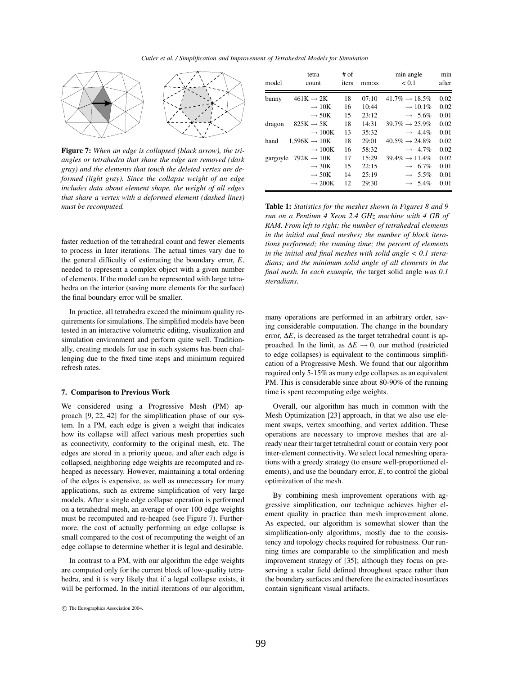

**Figure 7:** *When an edge is collapsed (black arrow), the triangles or tetrahedra that share the edge are removed (dark gray) and the elements that touch the deleted vertex are deformed (light gray). Since the collapse weight of an edge includes data about element shape, the weight of all edges that share a vertex with a deformed element (dashed lines) must be recomputed.*

faster reduction of the tetrahedral count and fewer elements to process in later iterations. The actual times vary due to the general difficulty of estimating the boundary error, *E*, needed to represent a complex object with a given number of elements. If the model can be represented with large tetrahedra on the interior (saving more elements for the surface) the final boundary error will be smaller.

In practice, all tetrahedra exceed the minimum quality requirements for simulations. The simplified models have been tested in an interactive volumetric editing, visualization and simulation environment and perform quite well. Traditionally, creating models for use in such systems has been challenging due to the fixed time steps and minimum required refresh rates.

#### **7. Comparison to Previous Work**

We considered using a Progressive Mesh (PM) approach [9, 22, 42] for the simplification phase of our system. In a PM, each edge is given a weight that indicates how its collapse will affect various mesh properties such as connectivity, conformity to the original mesh, etc. The edges are stored in a priority queue, and after each edge is collapsed, neighboring edge weights are recomputed and reheaped as necessary. However, maintaining a total ordering of the edges is expensive, as well as unnecessary for many applications, such as extreme simplification of very large models. After a single edge collapse operation is performed on a tetrahedral mesh, an average of over 100 edge weights must be recomputed and re-heaped (see Figure 7). Furthermore, the cost of actually performing an edge collapse is small compared to the cost of recomputing the weight of an edge collapse to determine whether it is legal and desirable.

In contrast to a PM, with our algorithm the edge weights are computed only for the current block of low-quality tetrahedra, and it is very likely that if a legal collapse exists, it will be performed. In the initial iterations of our algorithm,

| model    | tetra<br>count           | $#$ of<br>iters | mm:ss | min angle<br>< 0.1          | min<br>after |
|----------|--------------------------|-----------------|-------|-----------------------------|--------------|
| bunny    | $461K \rightarrow 2K$    | 18              | 07:10 | $41.7\% \rightarrow 18.5\%$ | 0.02         |
|          | $\rightarrow 10K$        | 16              | 10:44 | $\rightarrow$ 10.1%         | 0.02         |
|          | $\rightarrow$ 50K        | 15              | 23:12 | $\rightarrow 5.6\%$         | 0.01         |
| dragon   | $825K \rightarrow 5K$    | 18              | 14:31 | $39.7\% \rightarrow 25.9\%$ | 0.02         |
|          | $\rightarrow$ 100K       | 13              | 35:32 | $\rightarrow$ 4.4%          | 0.01         |
| hand     | $1,596K \rightarrow 10K$ | 18              | 29:01 | $40.5\% \rightarrow 24.8\%$ | 0.02         |
|          | $\rightarrow$ 100K       | 16              | 58:32 | $\rightarrow$ 4.7%          | 0.02         |
| gargoyle | $792K \rightarrow 10K$   | 17              | 15:29 | $39.4\% \rightarrow 11.4\%$ | 0.02         |
|          | $\rightarrow$ 30K        | 15              | 22:15 | $\rightarrow 6.7\%$         | 0.01         |
|          | $\rightarrow$ 50K        | 14              | 25:19 | $\rightarrow 5.5\%$         | 0.01         |
|          | $\rightarrow$ 200K       | 12              | 29:30 | $\rightarrow 5.4\%$         | 0.01         |

**Table 1:** *Statistics for the meshes shown in Figures 8 and 9 run on a Pentium 4 Xeon 2.4 GHz machine with 4 GB of RAM. From left to right: the number of tetrahedral elements in the initial and final meshes; the number of block iterations performed; the running time; the percent of elements in the initial and final meshes with solid angle < 0.1 steradians; and the minimum solid angle of all elements in the final mesh. In each example, the* target solid angle *was 0.1 steradians.*

many operations are performed in an arbitrary order, saving considerable computation. The change in the boundary error, ∆*E*, is decreased as the target tetrahedral count is approached. In the limit, as ∆*E* → 0, our method (restricted to edge collapses) is equivalent to the continuous simplification of a Progressive Mesh. We found that our algorithm required only 5-15% as many edge collapses as an equivalent PM. This is considerable since about 80-90% of the running time is spent recomputing edge weights.

Overall, our algorithm has much in common with the Mesh Optimization [23] approach, in that we also use element swaps, vertex smoothing, and vertex addition. These operations are necessary to improve meshes that are already near their target tetrahedral count or contain very poor inter-element connectivity. We select local remeshing operations with a greedy strategy (to ensure well-proportioned elements), and use the boundary error, *E*, to control the global optimization of the mesh.

By combining mesh improvement operations with aggressive simplification, our technique achieves higher element quality in practice than mesh improvement alone. As expected, our algorithm is somewhat slower than the simplification-only algorithms, mostly due to the consistency and topology checks required for robustness. Our running times are comparable to the simplification and mesh improvement strategy of [35]; although they focus on preserving a scalar field defined throughout space rather than the boundary surfaces and therefore the extracted isosurfaces contain significant visual artifacts.

c The Eurographics Association 2004.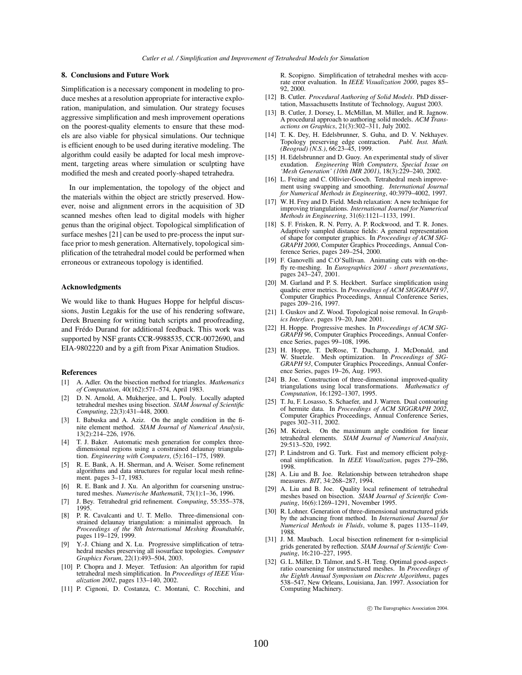## **8. Conclusions and Future Work**

Simplification is a necessary component in modeling to produce meshes at a resolution appropriate for interactive exploration, manipulation, and simulation. Our strategy focuses aggressive simplification and mesh improvement operations on the poorest-quality elements to ensure that these models are also viable for physical simulations. Our technique is efficient enough to be used during iterative modeling. The algorithm could easily be adapted for local mesh improvement, targeting areas where simulation or sculpting have modified the mesh and created poorly-shaped tetrahedra.

In our implementation, the topology of the object and the materials within the object are strictly preserved. However, noise and alignment errors in the acquisition of 3D scanned meshes often lead to digital models with higher genus than the original object. Topological simplification of surface meshes [21] can be used to pre-process the input surface prior to mesh generation. Alternatively, topological simplification of the tetrahedral model could be performed when erroneous or extraneous topology is identified.

#### **Acknowledgments**

We would like to thank Hugues Hoppe for helpful discussions, Justin Legakis for the use of his rendering software, Derek Bruening for writing batch scripts and proofreading, and Frédo Durand for additional feedback. This work was supported by NSF grants CCR-9988535, CCR-0072690, and EIA-9802220 and by a gift from Pixar Animation Studios.

#### **References**

- [1] A. Adler. On the bisection method for triangles. *Mathematics of Computation*, 40(162):571–574, April 1983.
- D. N. Arnold, A. Mukherjee, and L. Pouly. Locally adapted tetrahedral meshes using bisection. *SIAM Journal of Scientific Computing*, 22(3):431–448, 2000.
- [3] I. Babuska and A. Aziz. On the angle condition in the finite element method. *SIAM Journal of Numerical Analysis*, 13(2):214–226, 1976.
- [4] T. J. Baker. Automatic mesh generation for complex threedimensional regions using a constrained delaunay triangulation. *Engineering with Computers*, (5):161–175, 1989.
- [5] R. E. Bank, A. H. Sherman, and A. Weiser. Some refinement algorithms and data structures for regular local mesh refinement. pages 3–17, 1983.
- [6] R. E. Bank and J. Xu. An algorithm for coarsening unstructured meshes. *Numerische Mathematik*, 73(1):1–36, 1996.
- [7] J. Bey. Tetrahedral grid refinement. *Computing*, 55:355–378, 1995.
- [8] P. R. Cavalcanti and U. T. Mello. Three-dimensional constrained delaunay triangulation: a minimalist approach. In *Proceedings of the 8th International Meshing Roundtable*, pages 119–129, 1999.
- Y.-J. Chiang and X. Lu. Progressive simplification of tetrahedral meshes preserving all isosurface topologies. *Computer Graphics Forum*, 22(1):493–504, 2003.
- [10] P. Chopra and J. Meyer. Tetfusion: An algorithm for rapid tetrahedral mesh simplification. In *Proceedings of IEEE Visualization 2002*, pages 133–140, 2002.
- [11] P. Cignoni, D. Costanza, C. Montani, C. Rocchini, and

R. Scopigno. Simplification of tetrahedral meshes with accurate error evaluation. In *IEEE Visualization 2000*, pages 85– 92, 2000.

- [12] B. Cutler. *Procedural Authoring of Solid Models*. PhD dissertation, Massachusetts Institute of Technology, August 2003.
- [13] B. Cutler, J. Dorsey, L. McMillan, M. Müller, and R. Jagnow. A procedural approach to authoring solid models. *ACM Transactions on Graphics*, 21(3):302–311, July 2002.
- [14] T. K. Dey, H. Edelsbrunner, S. Guha, and D. V. Nekhayev. Topology preserving edge contraction. *Publ. Inst. Math. (Beograd) (N.S.)*, 66:23–45, 1999.
- [15] H. Edelsbrunner and D. Guoy. An experimental study of sliver exudation. *Engineering With Computers, Special Issue on 'Mesh Generation' (10th IMR 2001)*, 18(3):229–240, 2002.
- [16] L. Freitag and C. Ollivier-Gooch. Tetrahedral mesh improvement using swapping and smoothing. *International Journal for Numerical Methods in Engineering*, 40:3979–4002, 1997.
- [17] W. H. Frey and D. Field. Mesh relaxation: A new technique for improving triangulations. *International Journal for Numerical Methods in Engineering*, 31(6):1121–1133, 1991.
- [18] S. F. Frisken, R. N. Perry, A. P. Rockwood, and T. R. Jones. Adaptively sampled distance fields: A general representation of shape for computer graphics. In *Proceedings of ACM SIG-GRAPH 2000*, Computer Graphics Proceedings, Annual Conference Series, pages 249–254, 2000.
- [19] F. Ganovelli and C.O'Sullivan. Animating cuts with on-thefly re-meshing. In *Eurographics 2001 - short presentations*, pages 243–247, 2001.
- [20] M. Garland and P. S. Heckbert. Surface simplification using quadric error metrics. In *Proceedings of ACM SIGGRAPH 97*, Computer Graphics Proceedings, Annual Conference Series, pages 209–216, 1997.
- [21] I. Guskov and Z. Wood. Topological noise removal. In *Graphics Interface*, pages 19–20, June 2001.
- [22] H. Hoppe. Progressive meshes. In *Proceedings of ACM SIG-GRAPH 96*, Computer Graphics Proceedings, Annual Conference Series, pages 99–108, 1996.
- [23] H. Hoppe, T. DeRose, T. Duchamp, J. McDonald, and W. Stuetzle. Mesh optimization. In *Proceedings of SIG-GRAPH 93*, Computer Graphics Proceedings, Annual Conference Series, pages 19–26, Aug. 1993.
- [24] B. Joe. Construction of three-dimensional improved-quality triangulations using local transformations. *Mathematics of Computation*, 16:1292–1307, 1995.
- [25] T. Ju, F. Losasso, S. Schaefer, and J. Warren. Dual contouring of hermite data. In *Proceedings of ACM SIGGRAPH 2002*, Computer Graphics Proceedings, Annual Conference Series, pages 302–311, 2002.
- [26] M. Krizek. On the maximum angle condition for linear tetrahedral elements. *SIAM Journal of Numerical Analysis*, 29:513–520, 1992.
- [27] P. Lindstrom and G. Turk. Fast and memory efficient polygonal simplification. In *IEEE Visualization*, pages 279–286, 1998.
- [28] A. Liu and B. Joe. Relationship between tetrahedron shape measures. *BIT*, 34:268–287, 1994.
- [29] A. Liu and B. Joe. Quality local refinement of tetrahedral meshes based on bisection. *SIAM Journal of Scientific Computing*, 16(6):1269–1291, November 1995.
- [30] R. Lohner. Generation of three-dimensional unstructured grids by the advancing front method. In *International Journal for Numerical Methods in Fluids*, volume 8, pages 1135–1149, 1988.
- [31] J. M. Maubach. Local bisection refinement for n-simplicial grids generated by reflection. *SIAM Journal of Scientific Computing*, 16:210–227, 1995.
- [32] G. L. Miller, D. Talmor, and S.-H. Teng. Optimal good-aspectratio coarsening for unstructured meshes. In *Proceedings of the Eighth Annual Symposium on Discrete Algorithms*, pages 538–547, New Orleans, Louisiana, Jan. 1997. Association for Computing Machinery.

c The Eurographics Association 2004.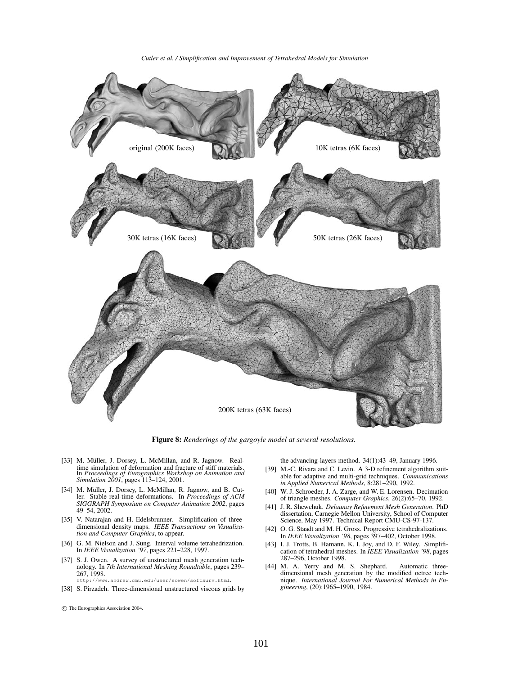*Cutler et al. / Simplification and Improvement of Tetrahedral Models for Simulation*



**Figure 8:** *Renderings of the gargoyle model at several resolutions.*

- [33] M. Müller, J. Dorsey, L. McMillan, and R. Jagnow. Realtime simulation of deformation and fracture of stiff materials. In *Proceedings of Eurographics Workshop on Animation and Simulation 2001*, pages 113–124, 2001.
- [34] M. Müller, J. Dorsey, L. McMillan, R. Jagnow, and B. Cutler. Stable real-time deformations. In *Proceedings of ACM SIGGRAPH Symposium on Computer Animation 2002*, pages 49–54, 2002.
- [35] V. Natarajan and H. Edelsbrunner. Simplification of threedimensional density maps. *IEEE Transactions on Visualization and Computer Graphics*, to appear.
- [36] G. M. Nielson and J. Sung. Interval volume tetrahedrization. In *IEEE Visualization '97*, pages 221–228, 1997.
- [37] S. J. Owen. A survey of unstructured mesh generation technology. In *7th International Meshing Roundtable*, pages 239– 267, 1998. http://www.andrew.cmu.edu/user/sowen/softsurv.html.
- [38] S. Pirzadeh. Three-dimensional unstructured viscous grids by
- the advancing-layers method. 34(1):43–49, January 1996.
- [39] M.-C. Rivara and C. Levin. A 3-D refinement algorithm suitable for adaptive and multi-grid techniques. *Communications in Applied Numerical Methods*, 8:281–290, 1992.
- [40] W. J. Schroeder, J. A. Zarge, and W. E. Lorensen. Decimation of triangle meshes. *Computer Graphics*, 26(2):65–70, 1992.
- [41] J. R. Shewchuk. *Delaunay Refinement Mesh Generation*. PhD dissertation, Carnegie Mellon University, School of Computer Science, May 1997. Technical Report CMU-CS-97-137.
- [42] O. G. Staadt and M. H. Gross. Progressive tetrahedralizations. In *IEEE Visualization '98*, pages 397–402, October 1998.
- [43] I. J. Trotts, B. Hamann, K. I. Joy, and D. F. Wiley. Simplification of tetrahedral meshes. In *IEEE Visualization '98*, pages 287–296, October 1998.
- [44] M. A. Yerry and M. S. Shephard. Automatic threedimensional mesh generation by the modified octree technique. *International Journal For Numerical Methods in Engineering*, (20):1965–1990, 1984.

c The Eurographics Association 2004.